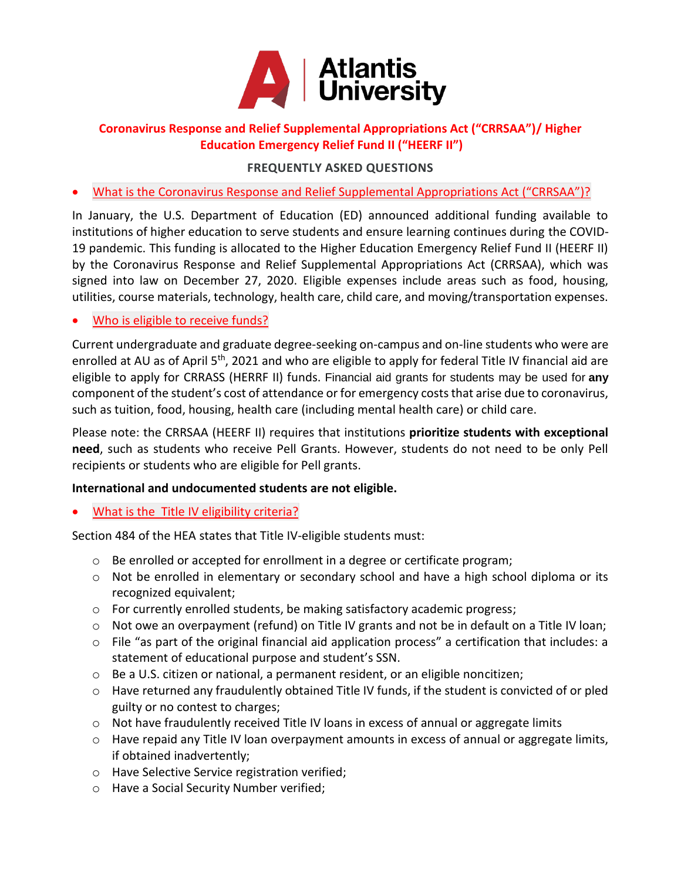

## **Coronavirus Response and Relief Supplemental Appropriations Act ("CRRSAA")/ Higher Education Emergency Relief Fund II ("HEERF II")**

# **FREQUENTLY ASKED QUESTIONS**

What is the Coronavirus Response and Relief Supplemental Appropriations Act ("CRRSAA")?

In January, the U.S. Department of Education (ED) announced additional funding available to institutions of higher education to serve students and ensure learning continues during the COVID-19 pandemic. This funding is allocated to the Higher Education Emergency Relief Fund II (HEERF II) by the Coronavirus Response and Relief Supplemental Appropriations Act (CRRSAA), which was signed into law on December 27, 2020. Eligible expenses include areas such as food, housing, utilities, course materials, technology, health care, child care, and moving/transportation expenses.

#### Who is eligible to [receive](https://canescentral.miami.edu/cares-act/) funds?

Current undergraduate and graduate degree-seeking on-campus and on-line students who were are enrolled at AU as of April 5<sup>th</sup>, 2021 and who are eligible to apply for federal Title IV financial aid are eligible to apply for CRRASS (HERRF II) funds. Financial aid grants for students may be used for **any**  component of the student's cost of attendance or for emergency costs that arise due to coronavirus, such as tuition, food, housing, health care (including mental health care) or child care.

Please note: the CRRSAA (HEERF II) requires that institutions **prioritize students with exceptional need**, such as students who receive Pell Grants. However, students do not need to be only Pell recipients or students who are eligible for Pell grants.

#### **International and undocumented students are not eligible.**

### What is the Title IV [eligibility](https://canescentral.miami.edu/cares-act/) criteria?

Section 484 of the HEA states that Title IV-eligible students must:

- $\circ$  Be enrolled or accepted for enrollment in a degree or certificate program;
- $\circ$  Not be enrolled in elementary or secondary school and have a high school diploma or its recognized equivalent;
- o For currently enrolled students, be making satisfactory academic progress;
- $\circ$  Not owe an overpayment (refund) on Title IV grants and not be in default on a Title IV loan;
- o File "as part of the original financial aid application process" a certification that includes: a statement of educational purpose and student's SSN.
- o Be a U.S. citizen or national, a permanent resident, or an eligible noncitizen;
- o Have returned any fraudulently obtained Title IV funds, if the student is convicted of or pled guilty or no contest to charges;
- $\circ$  Not have fraudulently received Title IV loans in excess of annual or aggregate limits
- o Have repaid any Title IV loan overpayment amounts in excess of annual or aggregate limits, if obtained inadvertently;
- o Have Selective Service registration verified;
- o Have a Social Security Number verified;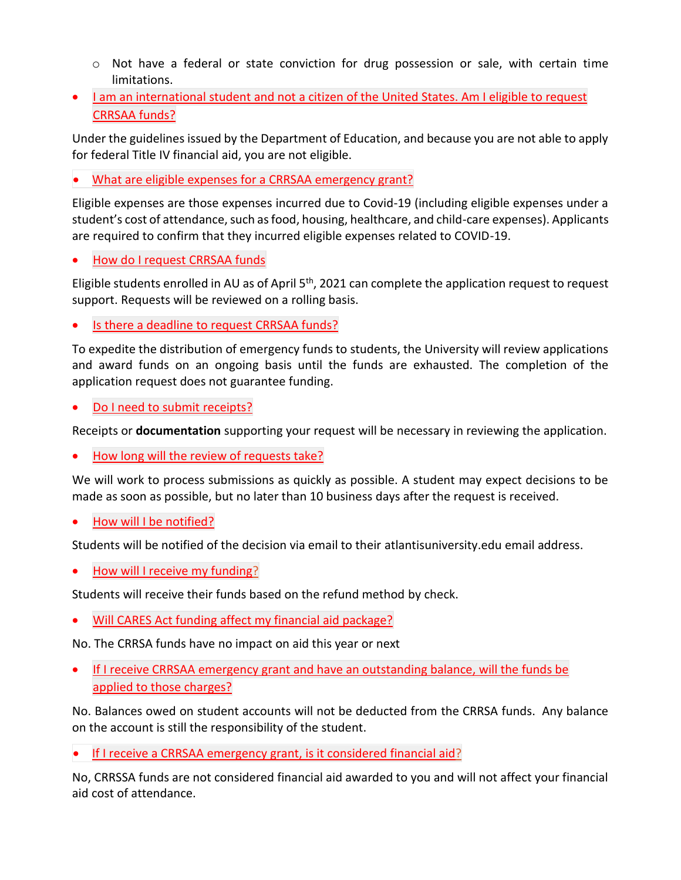- $\circ$  Not have a federal or state conviction for drug possession or sale, with certain time limitations.
- I am an international student and not a citizen of the United States. Am I eligible to request CRRSAA funds?

Under the guidelines issued by the Department of Education, and because you are not able to apply for federal Title IV financial aid, you are not eligible.

What are eligible expenses for a CRRSAA emergency grant?

Eligible expenses are those expenses incurred due to Covid-19 (including eligible expenses under a student's cost of attendance, such as food, housing, healthcare, and child-care expenses). Applicants are required to confirm that they incurred eligible expenses related to COVID-19.

How do I request [CRRSAA](https://canescentral.miami.edu/cares-act/) funds

Eligible students enrolled in AU as of April  $5<sup>th</sup>$ , 2021 can complete the application request to request support. Requests will be reviewed on a rolling basis.

Is there a [deadline](https://canescentral.miami.edu/cares-act/) to request CRRSAA funds?

To expedite the distribution of emergency funds to students, the University will review applications and award funds on an ongoing basis until the funds are exhausted. The completion of the application request does not guarantee funding.

Do I need to submit [receipts?](https://canescentral.miami.edu/cares-act/)

Receipts or **documentation** supporting your request will be necessary in reviewing the application.

• How long will the review of [requests](https://canescentral.miami.edu/cares-act/) take?

We will work to process submissions as quickly as possible. A student may expect decisions to be made as soon as possible, but no later than 10 business days after the request is received.

How will I be [notified?](https://canescentral.miami.edu/cares-act/)

Students will be notified of the decision via email to their atlantisuniversity.edu email address.

• How will I receive my [funding?](https://canescentral.miami.edu/cares-act/)

Students will receive their funds based on the refund method by check.

Will CARES Act funding affect my financial aid [package?](https://canescentral.miami.edu/cares-act/)

No. The CRRSA funds have no impact on aid this year or next

 If I receive CRRSAA emergency grant and have an outstanding balance, will the funds be applied to those charges?

No. Balances owed on student accounts will not be deducted from the CRRSA funds. Any balance on the account is still the responsibility of the student.

If I receive a CRRSAA emergency grant, is it considered financial aid?

No, CRRSSA funds are not considered financial aid awarded to you and will not affect your financial aid cost of attendance.